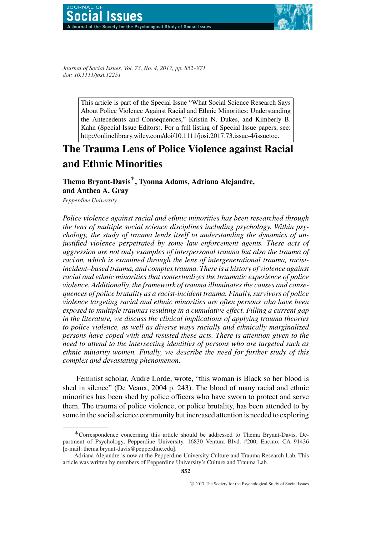

*Journal of Social Issues, Vol. 73, No. 4, 2017, pp. 852--871 doi: 10.1111/josi.12251*

> This article is part of the Special Issue "What Social Science Research Says About Police Violence Against Racial and Ethnic Minorities: Understanding the Antecedents and Consequences," Kristin N. Dukes, and Kimberly B. Kahn (Special Issue Editors). For a full listing of Special Issue papers, see: [http://onlinelibrary.wiley.com/doi/10.1111/josi.2017.73.issue-4/issuetoc.](http://onlinelibrary.wiley.com/doi/10.1111/josi.2017.73.issue-4/issuetoc)

# **The Trauma Lens of Police Violence against Racial and Ethnic Minorities**

**Thema Bryant-Davis**∗**, Tyonna Adams, Adriana Alejandre, and Anthea A. Gray**

*Pepperdine University*

*Police violence against racial and ethnic minorities has been researched through the lens of multiple social science disciplines including psychology. Within psychology, the study of trauma lends itself to understanding the dynamics of unjustified violence perpetrated by some law enforcement agents. These acts of aggression are not only examples of interpersonal trauma but also the trauma of racism, which is examined through the lens of intergenerational trauma, racistincident–based trauma, and complex trauma. There is a history of violence against racial and ethnic minorities that contextualizes the traumatic experience of police violence. Additionally, the framework of trauma illuminates the causes and consequences of police brutality as a racist-incident trauma. Finally, survivors of police violence targeting racial and ethnic minorities are often persons who have been exposed to multiple traumas resulting in a cumulative effect. Filling a current gap in the literature, we discuss the clinical implications of applying trauma theories to police violence, as well as diverse ways racially and ethnically marginalized persons have coped with and resisted these acts. There is attention given to the need to attend to the intersecting identities of persons who are targeted such as ethnic minority women. Finally, we describe the need for further study of this complex and devastating phenomenon.*

Feminist scholar, Audre Lorde, wrote, "this woman is Black so her blood is shed in silence" (De Veaux, 2004 p. 243). The blood of many racial and ethnic minorities has been shed by police officers who have sworn to protect and serve them. The trauma of police violence, or police brutality, has been attended to by some in the social science community but increased attention is needed to exploring

<sup>∗</sup>Correspondence concerning this article should be addressed to Thema Bryant-Davis, Department of Psychology, Pepperdine University, 16830 Ventura Blvd. #200, Encino, CA 91436 [e-mail: thema.bryant-davis@pepperdine.edu].

Adriana Alejandre is now at the Pepperdine University Culture and Trauma Research Lab. This article was written by members of Pepperdine University's Culture and Trauma Lab.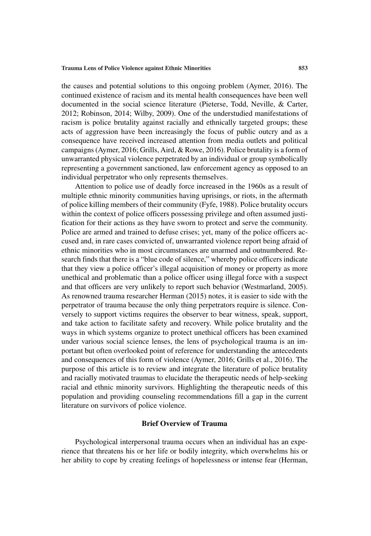the causes and potential solutions to this ongoing problem (Aymer, 2016). The continued existence of racism and its mental health consequences have been well documented in the social science literature (Pieterse, Todd, Neville, & Carter, 2012; Robinson, 2014; Wilby, 2009). One of the understudied manifestations of racism is police brutality against racially and ethnically targeted groups; these acts of aggression have been increasingly the focus of public outcry and as a consequence have received increased attention from media outlets and political campaigns (Aymer, 2016; Grills, Aird, & Rowe, 2016). Police brutality is a form of unwarranted physical violence perpetrated by an individual or group symbolically representing a government sanctioned, law enforcement agency as opposed to an individual perpetrator who only represents themselves.

Attention to police use of deadly force increased in the 1960s as a result of multiple ethnic minority communities having uprisings, or riots, in the aftermath of police killing members of their community (Fyfe, 1988). Police brutality occurs within the context of police officers possessing privilege and often assumed justification for their actions as they have sworn to protect and serve the community. Police are armed and trained to defuse crises; yet, many of the police officers accused and, in rare cases convicted of, unwarranted violence report being afraid of ethnic minorities who in most circumstances are unarmed and outnumbered. Research finds that there is a "blue code of silence," whereby police officers indicate that they view a police officer's illegal acquisition of money or property as more unethical and problematic than a police officer using illegal force with a suspect and that officers are very unlikely to report such behavior (Westmarland, 2005). As renowned trauma researcher Herman (2015) notes, it is easier to side with the perpetrator of trauma because the only thing perpetrators require is silence. Conversely to support victims requires the observer to bear witness, speak, support, and take action to facilitate safety and recovery. While police brutality and the ways in which systems organize to protect unethical officers has been examined under various social science lenses, the lens of psychological trauma is an important but often overlooked point of reference for understanding the antecedents and consequences of this form of violence (Aymer, 2016; Grills et al., 2016). The purpose of this article is to review and integrate the literature of police brutality and racially motivated traumas to elucidate the therapeutic needs of help-seeking racial and ethnic minority survivors. Highlighting the therapeutic needs of this population and providing counseling recommendations fill a gap in the current literature on survivors of police violence.

# **Brief Overview of Trauma**

Psychological interpersonal trauma occurs when an individual has an experience that threatens his or her life or bodily integrity, which overwhelms his or her ability to cope by creating feelings of hopelessness or intense fear (Herman,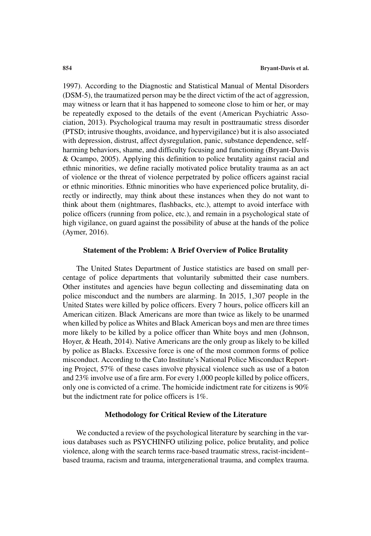1997). According to the Diagnostic and Statistical Manual of Mental Disorders (DSM-5), the traumatized person may be the direct victim of the act of aggression, may witness or learn that it has happened to someone close to him or her, or may be repeatedly exposed to the details of the event (American Psychiatric Association, 2013). Psychological trauma may result in posttraumatic stress disorder (PTSD; intrusive thoughts, avoidance, and hypervigilance) but it is also associated with depression, distrust, affect dysregulation, panic, substance dependence, selfharming behaviors, shame, and difficulty focusing and functioning (Bryant-Davis & Ocampo, 2005). Applying this definition to police brutality against racial and ethnic minorities, we define racially motivated police brutality trauma as an act of violence or the threat of violence perpetrated by police officers against racial or ethnic minorities. Ethnic minorities who have experienced police brutality, directly or indirectly, may think about these instances when they do not want to think about them (nightmares, flashbacks, etc.), attempt to avoid interface with police officers (running from police, etc.), and remain in a psychological state of high vigilance, on guard against the possibility of abuse at the hands of the police (Aymer, 2016).

# **Statement of the Problem: A Brief Overview of Police Brutality**

The United States Department of Justice statistics are based on small percentage of police departments that voluntarily submitted their case numbers. Other institutes and agencies have begun collecting and disseminating data on police misconduct and the numbers are alarming. In 2015, 1,307 people in the United States were killed by police officers. Every 7 hours, police officers kill an American citizen. Black Americans are more than twice as likely to be unarmed when killed by police as Whites and Black American boys and men are three times more likely to be killed by a police officer than White boys and men (Johnson, Hoyer, & Heath, 2014). Native Americans are the only group as likely to be killed by police as Blacks. Excessive force is one of the most common forms of police misconduct. According to the Cato Institute's National Police Misconduct Reporting Project, 57% of these cases involve physical violence such as use of a baton and 23% involve use of a fire arm. For every 1,000 people killed by police officers, only one is convicted of a crime. The homicide indictment rate for citizens is 90% but the indictment rate for police officers is 1%.

### **Methodology for Critical Review of the Literature**

We conducted a review of the psychological literature by searching in the various databases such as PSYCHINFO utilizing police, police brutality, and police violence, along with the search terms race-based traumatic stress, racist-incident– based trauma, racism and trauma, intergenerational trauma, and complex trauma.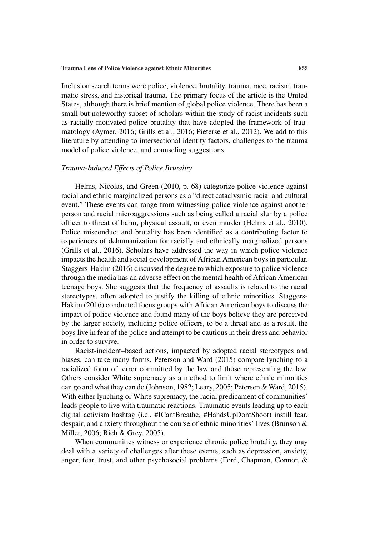Inclusion search terms were police, violence, brutality, trauma, race, racism, traumatic stress, and historical trauma. The primary focus of the article is the United States, although there is brief mention of global police violence. There has been a small but noteworthy subset of scholars within the study of racist incidents such as racially motivated police brutality that have adopted the framework of traumatology (Aymer, 2016; Grills et al., 2016; Pieterse et al., 2012). We add to this literature by attending to intersectional identity factors, challenges to the trauma model of police violence, and counseling suggestions.

# *Trauma-Induced Effects of Police Brutality*

Helms, Nicolas, and Green (2010, p. 68) categorize police violence against racial and ethnic marginalized persons as a "direct cataclysmic racial and cultural event." These events can range from witnessing police violence against another person and racial microaggressions such as being called a racial slur by a police officer to threat of harm, physical assault, or even murder (Helms et al., 2010). Police misconduct and brutality has been identified as a contributing factor to experiences of dehumanization for racially and ethnically marginalized persons (Grills et al., 2016). Scholars have addressed the way in which police violence impacts the health and social development of African American boys in particular. Staggers-Hakim (2016) discussed the degree to which exposure to police violence through the media has an adverse effect on the mental health of African American teenage boys. She suggests that the frequency of assaults is related to the racial stereotypes, often adopted to justify the killing of ethnic minorities. Staggers-Hakim (2016) conducted focus groups with African American boys to discuss the impact of police violence and found many of the boys believe they are perceived by the larger society, including police officers, to be a threat and as a result, the boys live in fear of the police and attempt to be cautious in their dress and behavior in order to survive.

Racist-incident–based actions, impacted by adopted racial stereotypes and biases, can take many forms. Peterson and Ward (2015) compare lynching to a racialized form of terror committed by the law and those representing the law. Others consider White supremacy as a method to limit where ethnic minorities can go and what they can do (Johnson, 1982; Leary, 2005; Petersen & Ward, 2015). With either lynching or White supremacy, the racial predicament of communities' leads people to live with traumatic reactions. Traumatic events leading up to each digital activism hashtag (i.e., #ICantBreathe, #HandsUpDontShoot) instill fear, despair, and anxiety throughout the course of ethnic minorities' lives (Brunson & Miller, 2006; Rich & Grey, 2005).

When communities witness or experience chronic police brutality, they may deal with a variety of challenges after these events, such as depression, anxiety, anger, fear, trust, and other psychosocial problems (Ford, Chapman, Connor, &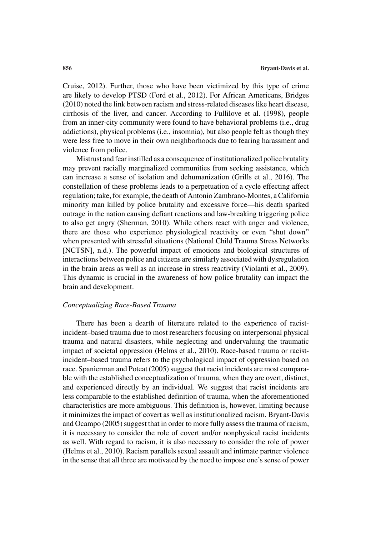Cruise, 2012). Further, those who have been victimized by this type of crime are likely to develop PTSD (Ford et al., 2012). For African Americans, Bridges (2010) noted the link between racism and stress-related diseases like heart disease, cirrhosis of the liver, and cancer. According to Fullilove et al. (1998), people from an inner-city community were found to have behavioral problems (i.e., drug addictions), physical problems (i.e., insomnia), but also people felt as though they were less free to move in their own neighborhoods due to fearing harassment and violence from police.

Mistrust and fear instilled as a consequence of institutionalized police brutality may prevent racially marginalized communities from seeking assistance, which can increase a sense of isolation and dehumanization (Grills et al., 2016). The constellation of these problems leads to a perpetuation of a cycle effecting affect regulation; take, for example, the death of Antonio Zambrano-Montes, a California minority man killed by police brutality and excessive force—his death sparked outrage in the nation causing defiant reactions and law-breaking triggering police to also get angry (Sherman, 2010). While others react with anger and violence, there are those who experience physiological reactivity or even "shut down" when presented with stressful situations (National Child Trauma Stress Networks [NCTSN], n.d.). The powerful impact of emotions and biological structures of interactions between police and citizens are similarly associated with dysregulation in the brain areas as well as an increase in stress reactivity (Violanti et al., 2009). This dynamic is crucial in the awareness of how police brutality can impact the brain and development.

### *Conceptualizing Race-Based Trauma*

There has been a dearth of literature related to the experience of racistincident–based trauma due to most researchers focusing on interpersonal physical trauma and natural disasters, while neglecting and undervaluing the traumatic impact of societal oppression (Helms et al., 2010). Race-based trauma or racistincident–based trauma refers to the psychological impact of oppression based on race. Spanierman and Poteat (2005) suggest that racist incidents are most comparable with the established conceptualization of trauma, when they are overt, distinct, and experienced directly by an individual. We suggest that racist incidents are less comparable to the established definition of trauma, when the aforementioned characteristics are more ambiguous. This definition is, however, limiting because it minimizes the impact of covert as well as institutionalized racism. Bryant-Davis and Ocampo (2005) suggest that in order to more fully assess the trauma of racism, it is necessary to consider the role of covert and/or nonphysical racist incidents as well. With regard to racism, it is also necessary to consider the role of power (Helms et al., 2010). Racism parallels sexual assault and intimate partner violence in the sense that all three are motivated by the need to impose one's sense of power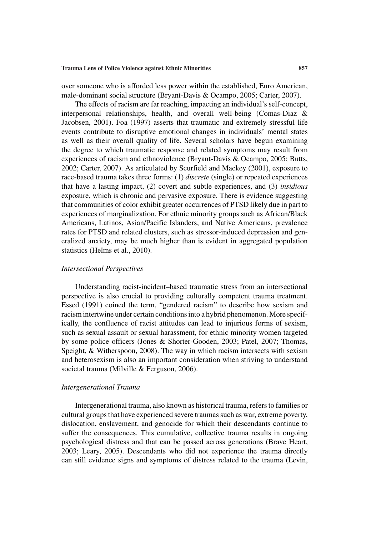over someone who is afforded less power within the established, Euro American, male-dominant social structure (Bryant-Davis & Ocampo, 2005; Carter, 2007).

The effects of racism are far reaching, impacting an individual's self-concept, interpersonal relationships, health, and overall well-being (Comas-Diaz & Jacobsen, 2001). Foa (1997) asserts that traumatic and extremely stressful life events contribute to disruptive emotional changes in individuals' mental states as well as their overall quality of life. Several scholars have begun examining the degree to which traumatic response and related symptoms may result from experiences of racism and ethnoviolence (Bryant-Davis & Ocampo, 2005; Butts, 2002; Carter, 2007). As articulated by Scurfield and Mackey (2001), exposure to race-based trauma takes three forms: (1) *discrete* (single) or repeated experiences that have a lasting impact, (2) covert and subtle experiences, and (3) *insidious* exposure, which is chronic and pervasive exposure. There is evidence suggesting that communities of color exhibit greater occurrences of PTSD likely due in part to experiences of marginalization. For ethnic minority groups such as African/Black Americans, Latinos, Asian/Pacific Islanders, and Native Americans, prevalence rates for PTSD and related clusters, such as stressor-induced depression and generalized anxiety, may be much higher than is evident in aggregated population statistics (Helms et al., 2010).

# *Intersectional Perspectives*

Understanding racist-incident–based traumatic stress from an intersectional perspective is also crucial to providing culturally competent trauma treatment. Essed (1991) coined the term, "gendered racism" to describe how sexism and racism intertwine under certain conditions into a hybrid phenomenon. More specifically, the confluence of racist attitudes can lead to injurious forms of sexism, such as sexual assault or sexual harassment, for ethnic minority women targeted by some police officers (Jones & Shorter-Gooden, 2003; Patel, 2007; Thomas, Speight, & Witherspoon, 2008). The way in which racism intersects with sexism and heterosexism is also an important consideration when striving to understand societal trauma (Milville & Ferguson, 2006).

# *Intergenerational Trauma*

Intergenerational trauma, also known as historical trauma, refers to families or cultural groups that have experienced severe traumas such as war, extreme poverty, dislocation, enslavement, and genocide for which their descendants continue to suffer the consequences. This cumulative, collective trauma results in ongoing psychological distress and that can be passed across generations (Brave Heart, 2003; Leary, 2005). Descendants who did not experience the trauma directly can still evidence signs and symptoms of distress related to the trauma (Levin,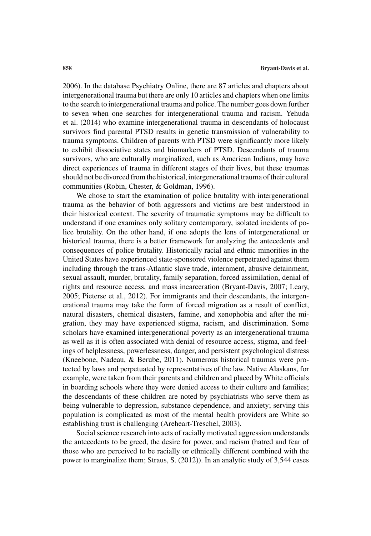2006). In the database Psychiatry Online, there are 87 articles and chapters about intergenerational trauma but there are only 10 articles and chapters when one limits to the search to intergenerational trauma and police. The number goes down further to seven when one searches for intergenerational trauma and racism. Yehuda et al. (2014) who examine intergenerational trauma in descendants of holocaust survivors find parental PTSD results in genetic transmission of vulnerability to trauma symptoms. Children of parents with PTSD were significantly more likely to exhibit dissociative states and biomarkers of PTSD. Descendants of trauma survivors, who are culturally marginalized, such as American Indians, may have direct experiences of trauma in different stages of their lives, but these traumas should not be divorced from the historical, intergenerational trauma of their cultural communities (Robin, Chester, & Goldman, 1996).

We chose to start the examination of police brutality with intergenerational trauma as the behavior of both aggressors and victims are best understood in their historical context. The severity of traumatic symptoms may be difficult to understand if one examines only solitary contemporary, isolated incidents of police brutality. On the other hand, if one adopts the lens of intergenerational or historical trauma, there is a better framework for analyzing the antecedents and consequences of police brutality. Historically racial and ethnic minorities in the United States have experienced state-sponsored violence perpetrated against them including through the trans-Atlantic slave trade, internment, abusive detainment, sexual assault, murder, brutality, family separation, forced assimilation, denial of rights and resource access, and mass incarceration (Bryant-Davis, 2007; Leary, 2005; Pieterse et al., 2012). For immigrants and their descendants, the intergenerational trauma may take the form of forced migration as a result of conflict, natural disasters, chemical disasters, famine, and xenophobia and after the migration, they may have experienced stigma, racism, and discrimination. Some scholars have examined intergenerational poverty as an intergenerational trauma as well as it is often associated with denial of resource access, stigma, and feelings of helplessness, powerlessness, danger, and persistent psychological distress (Kneebone, Nadeau, & Berube, 2011). Numerous historical traumas were protected by laws and perpetuated by representatives of the law. Native Alaskans, for example, were taken from their parents and children and placed by White officials in boarding schools where they were denied access to their culture and families; the descendants of these children are noted by psychiatrists who serve them as being vulnerable to depression, substance dependence, and anxiety; serving this population is complicated as most of the mental health providers are White so establishing trust is challenging (Areheart-Treschel, 2003).

Social science research into acts of racially motivated aggression understands the antecedents to be greed, the desire for power, and racism (hatred and fear of those who are perceived to be racially or ethnically different combined with the power to marginalize them; Straus, S. (2012)). In an analytic study of 3,544 cases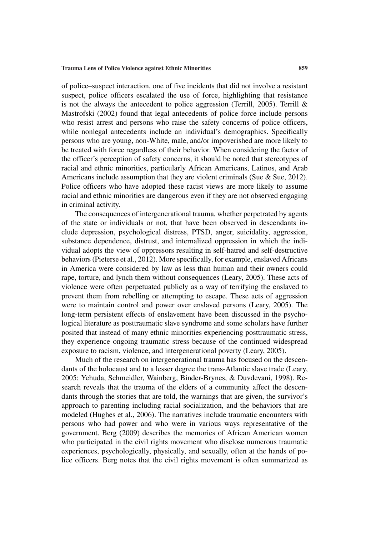of police–suspect interaction, one of five incidents that did not involve a resistant suspect, police officers escalated the use of force, highlighting that resistance is not the always the antecedent to police aggression (Terrill, 2005). Terrill  $\&$ Mastrofski (2002) found that legal antecedents of police force include persons who resist arrest and persons who raise the safety concerns of police officers, while nonlegal antecedents include an individual's demographics. Specifically persons who are young, non-White, male, and/or impoverished are more likely to be treated with force regardless of their behavior. When considering the factor of the officer's perception of safety concerns, it should be noted that stereotypes of racial and ethnic minorities, particularly African Americans, Latinos, and Arab Americans include assumption that they are violent criminals (Sue & Sue, 2012). Police officers who have adopted these racist views are more likely to assume racial and ethnic minorities are dangerous even if they are not observed engaging in criminal activity.

The consequences of intergenerational trauma, whether perpetrated by agents of the state or individuals or not, that have been observed in descendants include depression, psychological distress, PTSD, anger, suicidality, aggression, substance dependence, distrust, and internalized oppression in which the individual adopts the view of oppressors resulting in self-hatred and self-destructive behaviors (Pieterse et al., 2012). More specifically, for example, enslaved Africans in America were considered by law as less than human and their owners could rape, torture, and lynch them without consequences (Leary, 2005). These acts of violence were often perpetuated publicly as a way of terrifying the enslaved to prevent them from rebelling or attempting to escape. These acts of aggression were to maintain control and power over enslaved persons (Leary, 2005). The long-term persistent effects of enslavement have been discussed in the psychological literature as posttraumatic slave syndrome and some scholars have further posited that instead of many ethnic minorities experiencing posttraumatic stress, they experience ongoing traumatic stress because of the continued widespread exposure to racism, violence, and intergenerational poverty (Leary, 2005).

Much of the research on intergenerational trauma has focused on the descendants of the holocaust and to a lesser degree the trans-Atlantic slave trade (Leary, 2005; Yehuda, Schmeidler, Wainberg, Binder-Brynes, & Duvdevani, 1998). Research reveals that the trauma of the elders of a community affect the descendants through the stories that are told, the warnings that are given, the survivor's approach to parenting including racial socialization, and the behaviors that are modeled (Hughes et al., 2006). The narratives include traumatic encounters with persons who had power and who were in various ways representative of the government. Berg (2009) describes the memories of African American women who participated in the civil rights movement who disclose numerous traumatic experiences, psychologically, physically, and sexually, often at the hands of police officers. Berg notes that the civil rights movement is often summarized as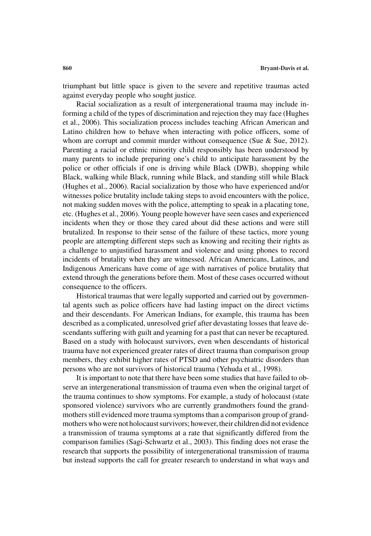triumphant but little space is given to the severe and repetitive traumas acted against everyday people who sought justice.

Racial socialization as a result of intergenerational trauma may include informing a child of the types of discrimination and rejection they may face (Hughes et al., 2006). This socialization process includes teaching African American and Latino children how to behave when interacting with police officers, some of whom are corrupt and commit murder without consequence (Sue & Sue, 2012). Parenting a racial or ethnic minority child responsibly has been understood by many parents to include preparing one's child to anticipate harassment by the police or other officials if one is driving while Black (DWB), shopping while Black, walking while Black, running while Black, and standing still while Black (Hughes et al., 2006). Racial socialization by those who have experienced and/or witnesses police brutality include taking steps to avoid encounters with the police, not making sudden moves with the police, attempting to speak in a placating tone, etc. (Hughes et al., 2006). Young people however have seen cases and experienced incidents when they or those they cared about did these actions and were still brutalized. In response to their sense of the failure of these tactics, more young people are attempting different steps such as knowing and reciting their rights as a challenge to unjustified harassment and violence and using phones to record incidents of brutality when they are witnessed. African Americans, Latinos, and Indigenous Americans have come of age with narratives of police brutality that extend through the generations before them. Most of these cases occurred without consequence to the officers.

Historical traumas that were legally supported and carried out by governmental agents such as police officers have had lasting impact on the direct victims and their descendants. For American Indians, for example, this trauma has been described as a complicated, unresolved grief after devastating losses that leave descendants suffering with guilt and yearning for a past that can never be recaptured. Based on a study with holocaust survivors, even when descendants of historical trauma have not experienced greater rates of direct trauma than comparison group members, they exhibit higher rates of PTSD and other psychiatric disorders than persons who are not survivors of historical trauma (Yehuda et al., 1998).

It is important to note that there have been some studies that have failed to observe an intergenerational transmission of trauma even when the original target of the trauma continues to show symptoms. For example, a study of holocaust (state sponsored violence) survivors who are currently grandmothers found the grandmothers still evidenced more trauma symptoms than a comparison group of grandmothers who were not holocaust survivors; however, their children did not evidence a transmission of trauma symptoms at a rate that significantly differed from the comparison families (Sagi-Schwartz et al., 2003). This finding does not erase the research that supports the possibility of intergenerational transmission of trauma but instead supports the call for greater research to understand in what ways and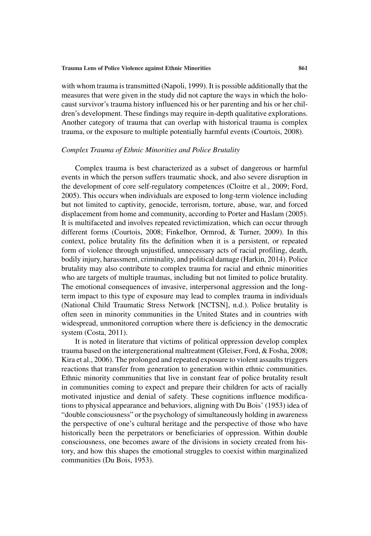with whom trauma is transmitted (Napoli, 1999). It is possible additionally that the measures that were given in the study did not capture the ways in which the holocaust survivor's trauma history influenced his or her parenting and his or her children's development. These findings may require in-depth qualitative explorations. Another category of trauma that can overlap with historical trauma is complex trauma, or the exposure to multiple potentially harmful events (Courtois, 2008).

# *Complex Trauma of Ethnic Minorities and Police Brutality*

Complex trauma is best characterized as a subset of dangerous or harmful events in which the person suffers traumatic shock, and also severe disruption in the development of core self-regulatory competences (Cloitre et al., 2009; Ford, 2005). This occurs when individuals are exposed to long-term violence including but not limited to captivity, genocide, terrorism, torture, abuse, war, and forced displacement from home and community, according to Porter and Haslam (2005). It is multifaceted and involves repeated revictimization, which can occur through different forms (Courtois, 2008; Finkelhor, Ormrod, & Turner, 2009). In this context, police brutality fits the definition when it is a persistent, or repeated form of violence through unjustified, unnecessary acts of racial profiling, death, bodily injury, harassment, criminality, and political damage (Harkin, 2014). Police brutality may also contribute to complex trauma for racial and ethnic minorities who are targets of multiple traumas, including but not limited to police brutality. The emotional consequences of invasive, interpersonal aggression and the longterm impact to this type of exposure may lead to complex trauma in individuals (National Child Traumatic Stress Network [NCTSN], n.d.). Police brutality is often seen in minority communities in the United States and in countries with widespread, unmonitored corruption where there is deficiency in the democratic system (Costa, 2011).

It is noted in literature that victims of political oppression develop complex trauma based on the intergenerational maltreatment (Gleiser, Ford, & Fosha, 2008; Kira et al., 2006). The prolonged and repeated exposure to violent assaults triggers reactions that transfer from generation to generation within ethnic communities. Ethnic minority communities that live in constant fear of police brutality result in communities coming to expect and prepare their children for acts of racially motivated injustice and denial of safety. These cognitions influence modifications to physical appearance and behaviors, aligning with Du Bois' (1953) idea of "double consciousness" or the psychology of simultaneously holding in awareness the perspective of one's cultural heritage and the perspective of those who have historically been the perpetrators or beneficiaries of oppression. Within double consciousness, one becomes aware of the divisions in society created from history, and how this shapes the emotional struggles to coexist within marginalized communities (Du Bois, 1953).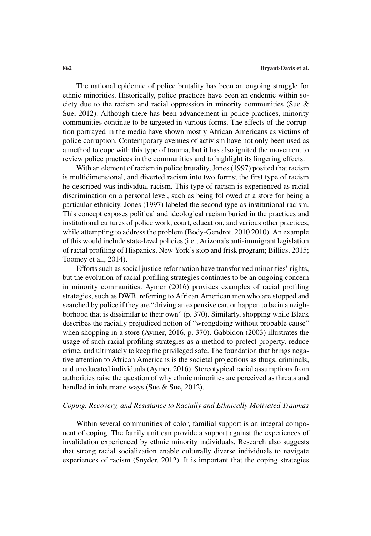The national epidemic of police brutality has been an ongoing struggle for ethnic minorities. Historically, police practices have been an endemic within society due to the racism and racial oppression in minority communities (Sue  $\&$ Sue, 2012). Although there has been advancement in police practices, minority communities continue to be targeted in various forms. The effects of the corruption portrayed in the media have shown mostly African Americans as victims of police corruption. Contemporary avenues of activism have not only been used as a method to cope with this type of trauma, but it has also ignited the movement to review police practices in the communities and to highlight its lingering effects.

With an element of racism in police brutality, Jones (1997) posited that racism is multidimensional, and diverted racism into two forms; the first type of racism he described was individual racism. This type of racism is experienced as racial discrimination on a personal level, such as being followed at a store for being a particular ethnicity. Jones (1997) labeled the second type as institutional racism. This concept exposes political and ideological racism buried in the practices and institutional cultures of police work, court, education, and various other practices, while attempting to address the problem (Body-Gendrot, 2010 2010). An example of this would include state-level policies (i.e., Arizona's anti-immigrant legislation of racial profiling of Hispanics, New York's stop and frisk program; Billies, 2015; Toomey et al., 2014).

Efforts such as social justice reformation have transformed minorities' rights, but the evolution of racial profiling strategies continues to be an ongoing concern in minority communities. Aymer (2016) provides examples of racial profiling strategies, such as DWB, referring to African American men who are stopped and searched by police if they are "driving an expensive car, or happen to be in a neighborhood that is dissimilar to their own" (p. 370). Similarly, shopping while Black describes the racially prejudiced notion of "wrongdoing without probable cause" when shopping in a store (Aymer, 2016, p. 370). Gabbidon (2003) illustrates the usage of such racial profiling strategies as a method to protect property, reduce crime, and ultimately to keep the privileged safe. The foundation that brings negative attention to African Americans is the societal projections as thugs, criminals, and uneducated individuals (Aymer, 2016). Stereotypical racial assumptions from authorities raise the question of why ethnic minorities are perceived as threats and handled in inhumane ways (Sue & Sue, 2012).

# *Coping, Recovery, and Resistance to Racially and Ethnically Motivated Traumas*

Within several communities of color, familial support is an integral component of coping. The family unit can provide a support against the experiences of invalidation experienced by ethnic minority individuals. Research also suggests that strong racial socialization enable culturally diverse individuals to navigate experiences of racism (Snyder, 2012). It is important that the coping strategies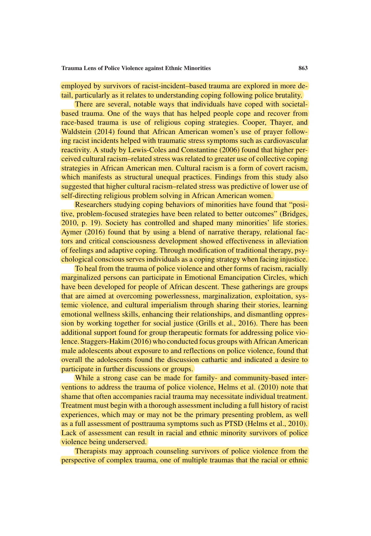employed by survivors of racist-incident–based trauma are explored in more detail, particularly as it relates to understanding coping following police brutality.

There are several, notable ways that individuals have coped with societalbased trauma. One of the ways that has helped people cope and recover from race-based trauma is use of religious coping strategies. Cooper, Thayer, and Waldstein (2014) found that African American women's use of prayer following racist incidents helped with traumatic stress symptoms such as cardiovascular reactivity. A study by Lewis-Coles and Constantine (2006) found that higher perceived cultural racism–related stress was related to greater use of collective coping strategies in African American men. Cultural racism is a form of covert racism, which manifests as structural unequal practices. Findings from this study also suggested that higher cultural racism–related stress was predictive of lower use of self-directing religious problem solving in African American women.

Researchers studying coping behaviors of minorities have found that "positive, problem-focused strategies have been related to better outcomes" (Bridges, 2010, p. 19). Society has controlled and shaped many minorities' life stories. Aymer (2016) found that by using a blend of narrative therapy, relational factors and critical consciousness development showed effectiveness in alleviation of feelings and adaptive coping. Through modification of traditional therapy, psychological conscious serves individuals as a coping strategy when facing injustice.

To heal from the trauma of police violence and other forms of racism, racially marginalized persons can participate in Emotional Emancipation Circles, which have been developed for people of African descent. These gatherings are groups that are aimed at overcoming powerlessness, marginalization, exploitation, systemic violence, and cultural imperialism through sharing their stories, learning emotional wellness skills, enhancing their relationships, and dismantling oppression by working together for social justice (Grills et al., 2016). There has been additional support found for group therapeutic formats for addressing police violence. Staggers-Hakim (2016) who conducted focus groups with African American male adolescents about exposure to and reflections on police violence, found that overall the adolescents found the discussion cathartic and indicated a desire to participate in further discussions or groups.

While a strong case can be made for family- and community-based interventions to address the trauma of police violence, Helms et al. (2010) note that shame that often accompanies racial trauma may necessitate individual treatment. Treatment must begin with a thorough assessment including a full history of racist experiences, which may or may not be the primary presenting problem, as well as a full assessment of posttrauma symptoms such as PTSD (Helms et al., 2010). Lack of assessment can result in racial and ethnic minority survivors of police violence being underserved.

Therapists may approach counseling survivors of police violence from the perspective of complex trauma, one of multiple traumas that the racial or ethnic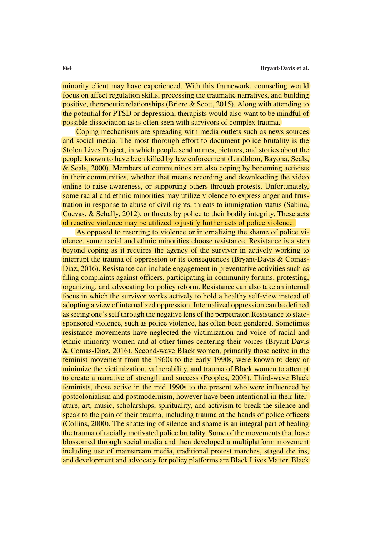minority client may have experienced. With this framework, counseling would focus on affect regulation skills, processing the traumatic narratives, and building positive, therapeutic relationships (Briere & Scott, 2015). Along with attending to the potential for PTSD or depression, therapists would also want to be mindful of possible dissociation as is often seen with survivors of complex trauma.

Coping mechanisms are spreading with media outlets such as news sources and social media. The most thorough effort to document police brutality is the Stolen Lives Project, in which people send names, pictures, and stories about the people known to have been killed by law enforcement (Lindblom, Bayona, Seals, & Seals, 2000). Members of communities are also coping by becoming activists in their communities, whether that means recording and downloading the video online to raise awareness, or supporting others through protests. Unfortunately, some racial and ethnic minorities may utilize violence to express anger and frustration in response to abuse of civil rights, threats to immigration status (Sabina, Cuevas, & Schally, 2012), or threats by police to their bodily integrity. These acts of reactive violence may be utilized to justify further acts of police violence.

As opposed to resorting to violence or internalizing the shame of police violence, some racial and ethnic minorities choose resistance. Resistance is a step beyond coping as it requires the agency of the survivor in actively working to interrupt the trauma of oppression or its consequences (Bryant-Davis & Comas-Diaz, 2016). Resistance can include engagement in preventative activities such as filing complaints against officers, participating in community forums, protesting, organizing, and advocating for policy reform. Resistance can also take an internal focus in which the survivor works actively to hold a healthy self-view instead of adopting a view of internalized oppression. Internalized oppression can be defined as seeing one's self through the negative lens of the perpetrator. Resistance to statesponsored violence, such as police violence, has often been gendered. Sometimes resistance movements have neglected the victimization and voice of racial and ethnic minority women and at other times centering their voices (Bryant-Davis & Comas-Diaz, 2016). Second-wave Black women, primarily those active in the feminist movement from the 1960s to the early 1990s, were known to deny or minimize the victimization, vulnerability, and trauma of Black women to attempt to create a narrative of strength and success (Peoples, 2008). Third-wave Black feminists, those active in the mid 1990s to the present who were influenced by postcolonialism and postmodernism, however have been intentional in their literature, art, music, scholarships, spirituality, and activism to break the silence and speak to the pain of their trauma, including trauma at the hands of police officers (Collins, 2000). The shattering of silence and shame is an integral part of healing the trauma of racially motivated police brutality. Some of the movements that have blossomed through social media and then developed a multiplatform movement including use of mainstream media, traditional protest marches, staged die ins, and development and advocacy for policy platforms are Black Lives Matter, Black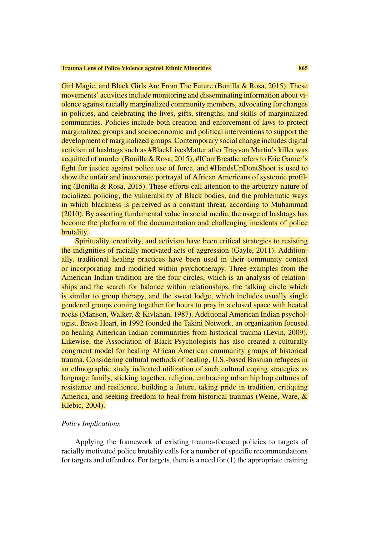Girl Magic, and Black Girls Are From The Future (Bonilla & Rosa, 2015). These movements' activities include monitoring and disseminating information about violence against racially marginalized community members, advocating for changes in policies, and celebrating the lives, gifts, strengths, and skills of marginalized communities. Policies include both creation and enforcement of laws to protect marginalized groups and socioeconomic and political interventions to support the development of marginalized groups. Contemporary social change includes digital activism of hashtags such as #BlackLivesMatter after Trayvon Martin's killer was acquitted of murder (Bonilla & Rosa, 2015), #ICantBreathe refers to Eric Garner's fight for justice against police use of force, and #HandsUpDontShoot is used to show the unfair and inaccurate portrayal of African Americans of systemic profiling (Bonilla & Rosa, 2015). These efforts call attention to the arbitrary nature of racialized policing, the vulnerability of Black bodies, and the problematic ways in which blackness is perceived as a constant threat, according to Muhammad (2010). By asserting fundamental value in social media, the usage of hashtags has become the platform of the documentation and challenging incidents of police brutality.

Spirituality, creativity, and activism have been critical strategies to resisting the indignities of racially motivated acts of aggression (Gayle, 2011). Additionally, traditional healing practices have been used in their community context or incorporating and modified within psychotherapy. Three examples from the American Indian tradition are the four circles, which is an analysis of relationships and the search for balance within relationships, the talking circle which is similar to group therapy, and the sweat lodge, which includes usually single gendered groups coming together for hours to pray in a closed space with heated rocks (Manson, Walker, & Kivlahan, 1987). Additional American Indian psychologist, Brave Heart, in 1992 founded the Takini Network, an organization focused on healing American Indian communities from historical trauma (Levin, 2009). Likewise, the Association of Black Psychologists has also created a culturally congruent model for healing African American community groups of historical trauma. Considering cultural methods of healing, U.S.-based Bosnian refugees in an ethnographic study indicated utilization of such cultural coping strategies as language family, sticking together, religion, embracing urban hip hop cultures of resistance and resilience, building a future, taking pride in tradition, critiquing America, and seeking freedom to heal from historical traumas (Weine, Ware, & Klebic, 2004).

# *Policy Implications*

Applying the framework of existing trauma-focused policies to targets of racially motivated police brutality calls for a number of specific recommendations for targets and offenders. For targets, there is a need for (1) the appropriate training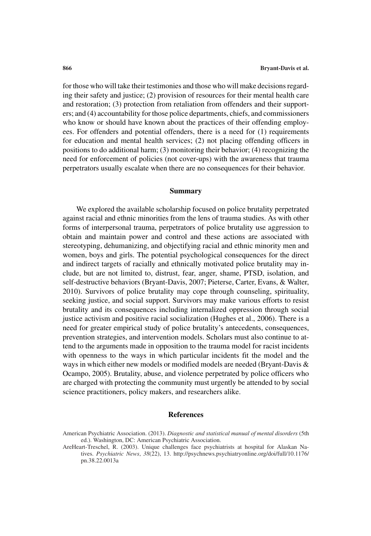for those who will take their testimonies and those who will make decisions regarding their safety and justice; (2) provision of resources for their mental health care and restoration; (3) protection from retaliation from offenders and their supporters; and (4) accountability for those police departments, chiefs, and commissioners who know or should have known about the practices of their offending employees. For offenders and potential offenders, there is a need for (1) requirements for education and mental health services; (2) not placing offending officers in positions to do additional harm; (3) monitoring their behavior; (4) recognizing the need for enforcement of policies (not cover-ups) with the awareness that trauma perpetrators usually escalate when there are no consequences for their behavior.

#### **Summary**

We explored the available scholarship focused on police brutality perpetrated against racial and ethnic minorities from the lens of trauma studies. As with other forms of interpersonal trauma, perpetrators of police brutality use aggression to obtain and maintain power and control and these actions are associated with stereotyping, dehumanizing, and objectifying racial and ethnic minority men and women, boys and girls. The potential psychological consequences for the direct and indirect targets of racially and ethnically motivated police brutality may include, but are not limited to, distrust, fear, anger, shame, PTSD, isolation, and self-destructive behaviors (Bryant-Davis, 2007; Pieterse, Carter, Evans, & Walter, 2010). Survivors of police brutality may cope through counseling, spirituality, seeking justice, and social support. Survivors may make various efforts to resist brutality and its consequences including internalized oppression through social justice activism and positive racial socialization (Hughes et al., 2006). There is a need for greater empirical study of police brutality's antecedents, consequences, prevention strategies, and intervention models. Scholars must also continue to attend to the arguments made in opposition to the trauma model for racist incidents with openness to the ways in which particular incidents fit the model and the ways in which either new models or modified models are needed (Bryant-Davis & Ocampo, 2005). Brutality, abuse, and violence perpetrated by police officers who are charged with protecting the community must urgently be attended to by social science practitioners, policy makers, and researchers alike.

#### **References**

American Psychiatric Association. (2013). *Diagnostic and statistical manual of mental disorders* (5th ed.). Washington, DC: American Psychiatric Association.

AreHeart-Treschel, R. (2003). Unique challenges face psychiatrists at hospital for Alaskan Natives. *Psychiatric News*, *38*(22), 13. [http://psychnews.psychiatryonline.org/doi/full/10.1176/](http://psychnews.psychiatryonline.org/doi/full/10.1176/pn.38.22.0013a) [pn.38.22.0013a](http://psychnews.psychiatryonline.org/doi/full/10.1176/pn.38.22.0013a)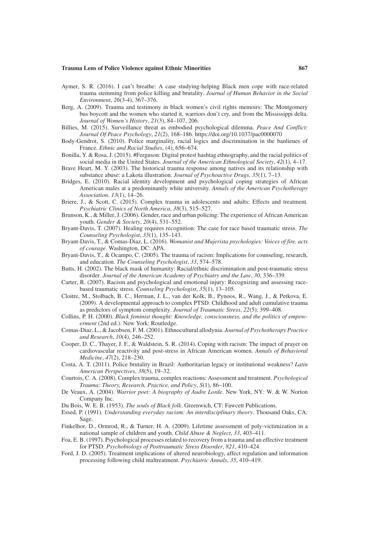- Aymer, S. R. (2016). I can't breathe: A case studying-helping Black men cope with race-related trauma stemming from police killing and brutality. *Journal of Human Behavior in the Social Environment*, *26*(3-4), 367–376.
- Berg, A. (2009). Trauma and testimony in black women's civil rights memoirs: The Montgomery bus boycott and the women who started it, warriors don't cry, and from the Mississippi delta. *Journal of Women's History*, *21*(3), 84–107, 206.
- Billies, M. (2015). Surveillance threat as embodied psychological dilemma. *Peace And Conflict: Journal Of Peace Psychology*, *21*(2), 168–186.<https://doi.org/10.1037/pac0000070>
- Body-Gendrot, S. (2010). Police marginality, racial logics and discrimination in the banlieues of France. *Ethnic and Racial Studies*, (4), 656–674.
- Bonilla, Y. & Rosa, J. (2015). #Ferguson: Digital protest hashtag ethnography, and the racial politics of social media in the United States. *Journal of the American Ethnological Society*, *42*(1), 4–17.
- Brave Heart, M. Y. (2003). The historical trauma response among natives and its relationship with substance abuse: a Lakota illustration. *Journal of Psychoactive Drugs*, *35*(1), 7–13.
- Bridges, E. (2010). Racial identity development and psychological coping strategies of African American males at a predominantly white university. *Annals of the American Psychotherapy Association*. *13*(1), 14–26.
- Briere, J., & Scott, C. (2015). Complex trauma in adolescents and adults: Effects and treatment. *Psychiatric Clinics of North America*, *38*(3), 515–527.
- Brunson, K., & Miller, J. (2006). Gender, race and urban policing: The experience of African American youth. *Gender & Society*, *20*(4), 531–552.
- Bryant-Davis, T. (2007). Healing requires recognition: The case for race based traumatic stress. *The Counseling Psychologist*, *35*(1), 135–143.
- Bryant-Davis, T., & Comas-Diaz, L. (2016). *Womanist and Mujerista psychologies: Voices of fire, acts of courage*. Washington, DC: APA.
- Bryant-Davis, T., & Ocampo, C. (2005). The trauma of racism: Implications for counseling, research, and education. *The Counseling Psychologist*, *33*, 574–578.
- Butts, H. (2002). The black mask of humanity: Racial/ethnic discrimination and post-traumatic stress disorder. *Journal of the American Academy of Psychiatry and the Law*, *30*, 336–339.
- Carter, R. (2007). Racism and psychological and emotional injury: Recognizing and assessing racebased traumatic stress. *Counseling Psychologist*, *35*(1), 13–105.
- Cloitre, M., Stolbach, B. C., Herman, J. L., van der Kolk, B., Pynoos, R., Wang, J., & Petkova, E. (2009). A developmental approach to complex PTSD: Childhood and adult cumulative trauma as predictors of symptom complexity. *Journal of Traumatic Stress*, *22*(5), 399–408.
- Collins, P. H. (2000). *Black feminist thought: Knowledge, consciousness, and the politics of empowerment* (2nd ed.). New York: Routledge.
- Comas-Diaz, L., & Jacobsen, F. M. (2001). Ethnocultural allodynia. *Journal of Psychotherapy Practice and Research*, *10*(4), 246–252.
- Cooper, D. C., Thayer, J. F., & Waldstein, S. R. (2014). Coping with racism: The impact of prayer on cardiovascular reactivity and post-stress in African American women. *Annals of Behavioral Medicine*, *47*(2), 218–230.
- Costa, A. T. (2011). Police brutality in Brazil: Authoritarian legacy or institutional weakness? *Latin American Perspectives*, *38*(5), 19–32.
- Courtois, C. A. (2008). Complex trauma, complex reactions: Assessment and treatment. *Psychological Trauma: Theory, Research, Practice, and Policy*, *S*(1), 86–100.
- De Veaux, A. (2004). *Warrior poet: A biography of Audre Lorde*. New York, NY: W. & W. Norton Company Inc.
- Du Bois, W. E. B. (1953). *The souls of Black folk*. Greenwich, CT: Fawcett Publications.
- Essed, P. (1991). *Understanding everyday racism: An interdisciplinary theory*. Thousand Oaks, CA: Sage.
- Finkelhor, D., Ormrod, R., & Turner, H. A. (2009). Lifetime assessment of poly-victimization in a national sample of children and youth. *Child Abuse & Neglect*, *33*, 403–411.
- Foa, E. B. (1997). Psychological processes related to recovery from a trauma and an effective treatment for PTSD. *Psychobiology of Posttraumatic Stress Disorder*, *821*, 410–424.
- Ford, J. D. (2005). Treatment implications of altered neurobiology, affect regulation and information processing following child maltreatment. *Psychiatric Annals*, *35*, 410–419.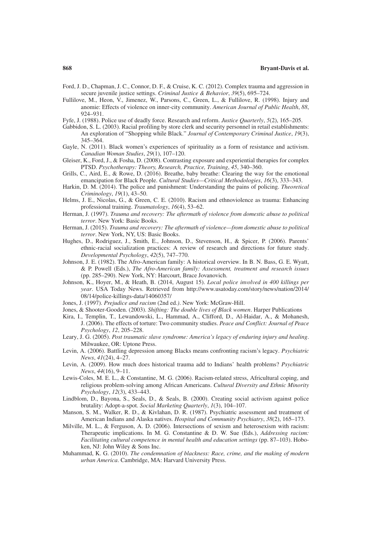- Ford, J. D., Chapman, J. C., Connor, D. F., & Cruise, K. C. (2012). Complex trauma and aggression in secure juvenile justice settings. *Criminal Justice & Behavior*, *39*(5), 695–724.
- Fullilove, M., Heon, V., Jimenez, W., Parsons, C., Green, L., & Fullilove, R. (1998). Injury and anomie: Effects of violence on inner-city community. *American Journal of Public Health*, *88*, 924–931.
- Fyfe, J. (1988). Police use of deadly force. Research and reform. *Justice Quarterly*, *5*(2), 165–205.
- Gabbidon, S. L. (2003). Racial profiling by store clerk and security personnel in retail establishments: An exploration of "Shopping while Black." *Journal of Contemporary Criminal Justice*, *19*(3), 345–364.
- Gayle, N. (2011). Black women's experiences of spirituality as a form of resistance and activism. *Canadian Woman Studies*, *29*(1), 107–120.
- Gleiser, K., Ford, J., & Fosha, D. (2008). Contrasting exposure and experiential therapies for complex PTSD. *Psychotherapy: Theory, Research, Practice, Training*, *45*, 340–360.
- Grills, C., Aird, E., & Rowe, D. (2016). Breathe, baby breathe: Clearing the way for the emotional emancipation for Black People. *Cultural Studies—Critical Methodologies*, *16*(3), 333–343.
- Harkin, D. M. (2014). The police and punishment: Understanding the pains of policing. *Theoretical Criminology*, *19*(1), 43–50.
- Helms, J. E., Nicolas, G., & Green, C. E. (2010). Racism and ethnoviolence as trauma: Enhancing professional training. *Traumatology*, *16*(4), 53–62.
- Herman, J. (1997). *Trauma and recovery: The aftermath of violence from domestic abuse to political terror*. New York: Basic Books.
- Herman, J. (2015). *Trauma and recovery: The aftermath of violence—from domestic abuse to political terror*. New York, NY, US: Basic Books.
- Hughes, D., Rodriguez, J., Smith, E., Johnson, D., Stevenson, H., & Spicer, P. (2006). Parents' ethnic-racial socialization practices: A review of research and directions for future study. *Developmental Psychology*, *42*(5), 747–770.
- Johnson, J. E. (1982). The Afro-American family: A historical overview. In B. N. Bass, G. E. Wyatt, & P. Powell (Eds.), *The Afro-American family: Assessment, treatment and research issues* (pp. 285–290). New York, NY: Harcourt, Brace Jovanovich.
- Johnson, K., Hoyer, M., & Heath, B. (2014, August 15). *Local police involved in 400 killings per year*. USA Today News. Retrieved from [http://www.usatoday.com/story/news/nation/2014/](http://www.usatoday.com/story/news/nation/2014/08/14/police-killings-data/14060357/) [08/14/police-killings-data/14060357/](http://www.usatoday.com/story/news/nation/2014/08/14/police-killings-data/14060357/)
- Jones, J. (1997). *Prejudice and racism* (2nd ed.*)*. New York: McGraw-Hill.
- Jones, & Shooter-Gooden. (2003). *Shifting: The double lives of Black women*. Harper Publications
- Kira, I., Templin, T., Lewandowski, L., Hammad, A., Clifford, D., Al-Haidar, A., & Mohanesh, J. (2006). The effects of torture: Two community studies. *Peace and Conflict: Journal of Peace Psychology*, *12*, 205–228.
- Leary, J. G. (2005). *Post traumatic slave syndrome: America's legacy of enduring injury and healing*. Milwaukee, OR: Uptone Press.
- Levin, A. (2006). Battling depression among Blacks means confronting racism's legacy. *Psychiatric News*, *41*(24), 4–27.
- Levin, A. (2009). How much does historical trauma add to Indians' health problems? *Psychiatric News*, *44*(16), 9–11.
- Lewis-Coles, M. E. L., & Constantine, M. G. (2006). Racism-related stress, Africultural coping, and religious problem-solving among African Americans. *Cultural Diversity and Ethnic Minority Psychology*, *12*(3), 433–443.
- Lindblom, D., Bayona, S., Seals, D., & Seals, B. (2000). Creating social activism against police brutality: Adopt-a-spot. *Social Marketing Quarterly*, *1*(3), 104–107.
- Manson, S. M., Walker, R. D., & Kivlahan, D. R. (1987). Psychiatric assessment and treatment of American Indians and Alaska natives. *Hospital and Community Psychiatry*, *38*(2), 165–173.
- Milville, M. L., & Ferguson, A. D. (2006). Intersections of sexism and heterosexism with racism: Therapeutic implications. In M. G. Constantine & D. W. Sue (Eds.), *Addressing racism: Facilitating cultural competence in mental health and education settings* (pp. 87–103). Hoboken, NJ: John Wiley & Sons Inc.
- Muhammad, K. G. (2010). *The condemnation of blackness: Race, crime, and the making of modern urban America*. Cambridge, MA: Harvard University Press.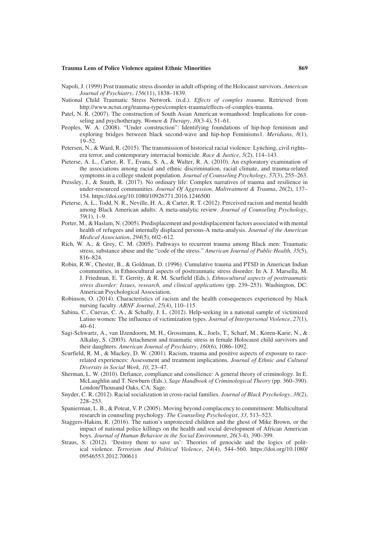- Napoli, J. (1999) Post traumatic stress disorder in adult offspring of the Holocaust survivors. *American Journal of Psychiatry*, *156*(11), 1838–1839.
- National Child Traumatic Stress Network. (n.d.). *Effects of complex trauma*. Retrieved from [http://www.nctsn.org/trauma-types/complex-trauma/effects-of-complex-trauma.](http://www.nctsn.org/trauma-types/complex-trauma/effects-of-complex-trauma)
- Patel, N. R. (2007). The construction of South Asian American womanhood: Implications for counseling and psychotherapy. *Women & Therapy*, *30*(3-4), 51–61.
- Peoples, W. A. (2008). "Under construction": Identifying foundations of hip-hop feminism and exploring bridges between black second-wave and hip-hop Feminisms1. *Meridians*, *8*(1), 19–52.
- Petersen, N., & Ward, R. (2015). The transmission of historical racial violence: Lynching, civil rights– era terror, and contemporary interracial homicide. *Race & Justice*, *5*(2), 114–143.
- Pieterse, A. L., Carter, R. T., Evans, S. A., & Walter, R. A. (2010). An exploratory examination of the associations among racial and ethnic discrimination, racial climate, and trauma-related symptoms in a college student population. *Journal of Counseling Psychology*, *57*(3), 255–263.
- Pressley, J., & Smith, R. (2017). No ordinary life: Complex narratives of trauma and resilience in under-resourced communities. *Journal Of Aggression, Maltreatment & Trauma*, *26*(2), 137– 154.<https://doi.org/10.1080/10926771.2016.1246500>
- Pieterse, A. L., Todd, N. R., Neville, H. A., & Carter, R. T. (2012). Perceived racism and mental health among Black American adults: A meta-analytic review. *Journal of Counseling Psychology*, *59*(1), 1–9.
- Porter, M., & Haslam, N. (2005). Predisplacement and postdisplacement factors associated with mental health of refugees and internally displaced persons-A meta-analysis. *Journal of the American Medical Association*, *294*(5), 602–612.
- Rich, W. A., & Grey, C. M. (2005). Pathways to recurrent trauma among Black men: Traumatic stress, substance abuse and the "code of the stress." *American Journal of Public Health*, *35*(5), 816–824.
- Robin, R.W., Chester, B., & Goldman, D. (1996). Cumulative trauma and PTSD in American Indian communities, in Ethnocultural aspects of posttraumatic stress disorder. In A. J. Marsella, M. J. Friedman, E. T. Gerrity, & R. M. Scurfield (Eds.), *Ethnocultural aspects of posttraumatic stress disorder: Issues, research, and clinical applications* (pp. 239–253). Washington, DC: American Psychological Association.
- Robinson, O. (2014). Characteristics of racism and the health consequences experienced by black nursing faculty. *ABNF Journal*, *25*(4), 110–115.
- Sabina, C., Cuevas, C. A., & Schally, J. L. (2012). Help-seeking in a national sample of victimized Latino women: The influence of victimization types. *Journal of Interpersonal Violence*, *27*(1), 40–61.
- Sagi-Schwartz, A., van IJzendoorn, M. H., Grossmann, K., Joels, T., Scharf, M., Koren-Karie, N., & Alkalay, S. (2003). Attachment and traumatic stress in female Holocaust child survivors and their daughters. *American Journal of Psychiatry*, *160*(6), 1086–1092.
- Scurfield, R. M., & Mackey, D. W. (2001). Racism, trauma and positive aspects of exposure to racerelated experiences: Assessment and treatment implications. *Journal of Ethnic and Cultural Diversity in Social Work*, *10*, 23–47.
- Sherman, L. W. (2010). Defiance, compliance and consilience: A general theory of criminology. In E. McLaughlin and T. Newburn (Eds.), *Sage Handbook of Criminological Theory* (pp. 360–390). London/Thousand Oaks, CA: Sage.
- Snyder, C. R. (2012). Racial socialization in cross-racial families. *Journal of Black Psychology*, *38*(2), 228–253.
- Spanierman, L. B., & Poteat, V. P. (2005). Moving beyond complacency to commitment: Multicultural research in counseling psychology. *The Counseling Psychologist*, *33*, 513–523.
- Staggers-Hakim, R. (2016). The nation's unprotected children and the ghost of Mike Brown, or the impact of national police killings on the health and social development of African American boys. *Journal of Human Behavior in the Social Environment*, *26*(3-4), 390–399.
- Straus, S. (2012). 'Destroy them to save us': Theories of genocide and the logics of political violence. *Terrorism And Political Violence*, *24*(4), 544–560. [https://doi.org/10.1080/](https://doi.org/10.1080/09546553.2012.700611) [09546553.2012.700611](https://doi.org/10.1080/09546553.2012.700611)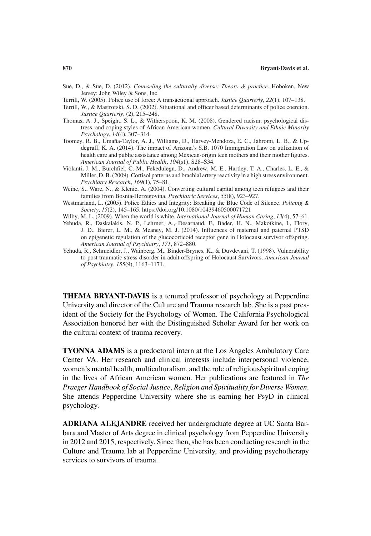- Sue, D., & Sue, D. (2012). *Counseling the culturally diverse: Theory & practice*. Hoboken, New Jersey: John Wiley & Sons, Inc.
- Terrill, W. (2005). Police use of force: A transactional approach. *Justice Quarterly*, *22*(1), 107–138.
- Terrill, W., & Mastrofski, S. D. (2002). Situational and officer based determinants of police coercion. *Justice Quarterly*, (2), 215–248.
- Thomas, A. J., Speight, S. L., & Witherspoon, K. M. (2008). Gendered racism, psychological distress, and coping styles of African American women. *Cultural Diversity and Ethnic Minority Psychology*, *14*(4), 307–314.
- Toomey, R. B., Umaña-Taylor, A. J., Williams, D., Harvey-Mendoza, E. C., Jahromi, L. B., & Updegraff, K. A. (2014). The impact of Arizona's S.B. 1070 Immigration Law on utilization of health care and public assistance among Mexican-origin teen mothers and their mother figures. *American Journal of Public Health*, *104*(s1), S28–S34.
- Violanti, J. M., Burchfiel, C. M., Fekedulegn, D., Andrew, M. E., Hartley, T. A., Charles, L. E., & Miller, D. B. (2009). Cortisol patterns and brachial artery reactivity in a high stress environment. *Psychiatry Research*, *169*(1), 75–81.
- Weine, S., Ware, N., & Klenic, A. (2004). Converting cultural capital among teen refugees and their families from Bosnia-Herzegovina. *Psychiatric Services*, *55*(8), 923–927.
- Westmarland, L. (2005). Police Ethics and Integrity: Breaking the Blue Code of Silence. *Policing & Society*, *15*(2), 145–165.<https://doi.org/10.1080/10439460500071721>
- Wilby, M. L. (2009). When the world is white. *International Journal of Human Caring*, *13(*4), 57–61.
- Yehuda, R., Daskalakis, N. P., Lehrner, A., Desarnaud, F., Bader, H. N., Makotkine, I., Flory, J. D., Bierer, L. M., & Meaney, M. J. (2014). Influences of maternal and paternal PTSD on epigenetic regulation of the glucocorticoid receptor gene in Holocaust survivor offspring. *American Journal of Psychiatry*, *171*, 872–880.
- Yehuda, R., Schmeidler, J., Wainberg, M., Binder-Brynes, K., & Duvdevani, T. (1998). Vulnerability to post traumatic stress disorder in adult offspring of Holocaust Survivors. *American Journal of Psychiatry*, *155*(9), 1163–1171.

**THEMA BRYANT-DAVIS** is a tenured professor of psychology at Pepperdine University and director of the Culture and Trauma research lab. She is a past president of the Society for the Psychology of Women. The California Psychological Association honored her with the Distinguished Scholar Award for her work on the cultural context of trauma recovery.

**TYONNA ADAMS** is a predoctoral intern at the Los Angeles Ambulatory Care Center VA. Her research and clinical interests include interpersonal violence, women's mental health, multiculturalism, and the role of religious/spiritual coping in the lives of African American women. Her publications are featured in *The Praeger Handbook of Social Justice*, *Religion and Spirituality for Diverse Women*. She attends Pepperdine University where she is earning her PsyD in clinical psychology.

**ADRIANA ALEJANDRE** received her undergraduate degree at UC Santa Barbara and Master of Arts degree in clinical psychology from Pepperdine University in 2012 and 2015, respectively. Since then, she has been conducting research in the Culture and Trauma lab at Pepperdine University, and providing psychotherapy services to survivors of trauma.